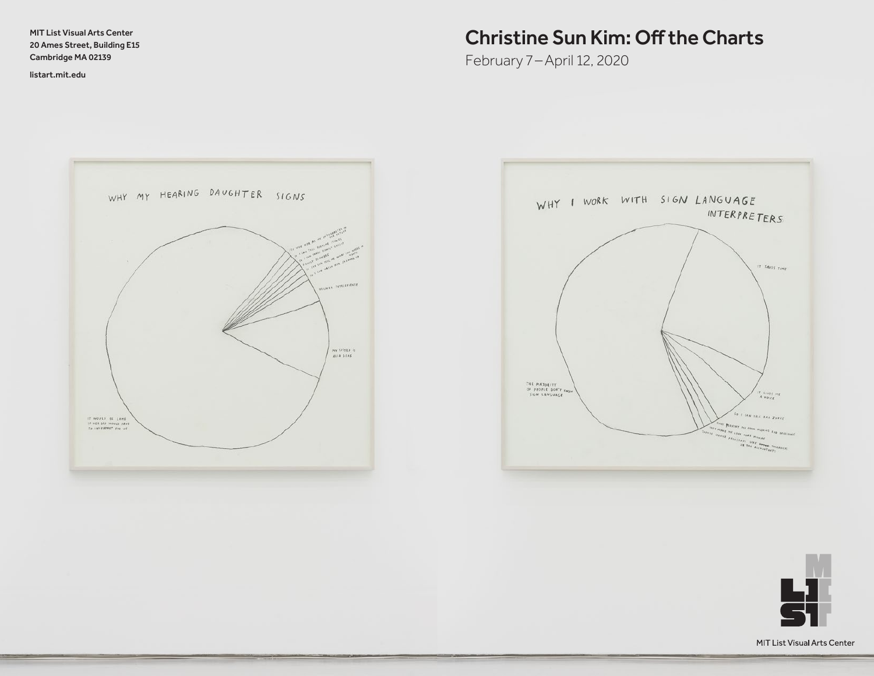MIT List Visual Arts Center 20 Ames Street, Building E15 Cambridge MA 02139

<listart.mit.edu>

# Christine Sun Kim: Off the Charts

February 7 –April 12, 2020





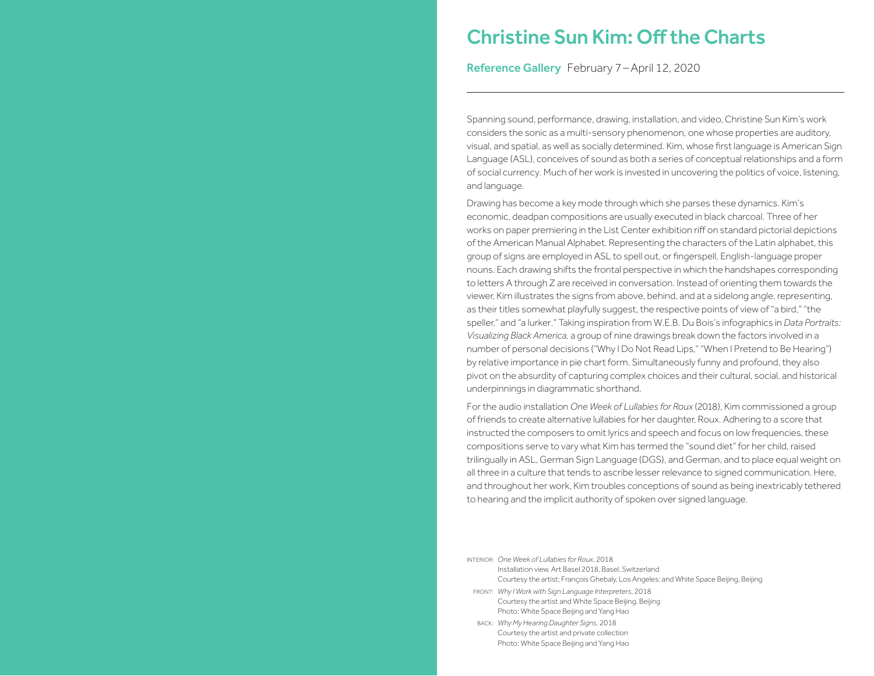# Christine Sun Kim: Off the Charts

Reference Gallery February 7-April 12, 2020

Spanning sound, performance, drawing, installation, and video, Christine Sun Kim's work considers the sonic as a multi-sensory phenomenon, one whose properties are auditory, visual, and spatial, as well as socially determined. Kim, whose first language is American Sign Language (ASL), conceives of sound as both a series of conceptual relationships and a form of social currency. Much of her work is invested in uncovering the politics of voice, listening, and language.

Drawing has become a key mode through which she parses these dynamics. Kim's economic, deadpan compositions are usually executed in black charcoal. Three of her works on paper premiering in the List Center exhibition riff on standard pictorial depictions of the American Manual Alphabet. Representing the characters of the Latin alphabet, this group of signs are employed in ASL to spell out, or fingerspell, English-language proper nouns. Each drawing shifts the frontal perspective in which the handshapes corresponding to letters A through Z are received in conversation. Instead of orienting them towards the viewer, Kim illustrates the signs from above, behind, and at a sidelong angle, representing, as their titles somewhat playfully suggest, the respective points of view of "a bird," "the speller," and "a lurker." Taking inspiration from W.E.B. Du Bois's infographics in *Data Portraits: Visualizing Black America,* a group of nine drawings break down the factors involved in a number of personal decisions ("Why I Do Not Read Lips," "When I Pretend to Be Hearing") by relative importance in pie chart form. Simultaneously funny and profound, they also pivot on the absurdity of capturing complex choices and their cultural, social, and historical underpinnings in diagrammatic shorthand.

For the audio installation *One Week of Lullabies for Roux* (2018), Kim commissioned a group of friends to create alternative lullabies for her daughter, Roux. Adhering to a score that instructed the composers to omit lyrics and speech and focus on low frequencies, these compositions serve to vary what Kim has termed the "sound diet" for her child, raised trilingually in ASL, German Sign Language (DGS), and German, and to place equal weight on all three in a culture that tends to ascribe lesser relevance to signed communication. Here, and throughout her work, Kim troubles conceptions of sound as being inextricably tethered to hearing and the implicit authority of spoken over signed language.

- INTERIOR: *One Week of Lullabies for Roux*, 2018 Installation view, Art Basel 2018, Basel, Switzerland Courtesy the artist; François Ghebaly, Los Angeles; and White Space Beijing, Beijing
- FRONT: *Why I Workwith Sign Language Interpreters*, 2018 Courtesy the artist and White Space Beijing, Beijing Photo: White Space Beijing and Yang Hao
- BACK: *Why My Hearing Daughter Signs*, 2018 Courtesy the artist and private collection Photo: White Space Beijing and Yang Hao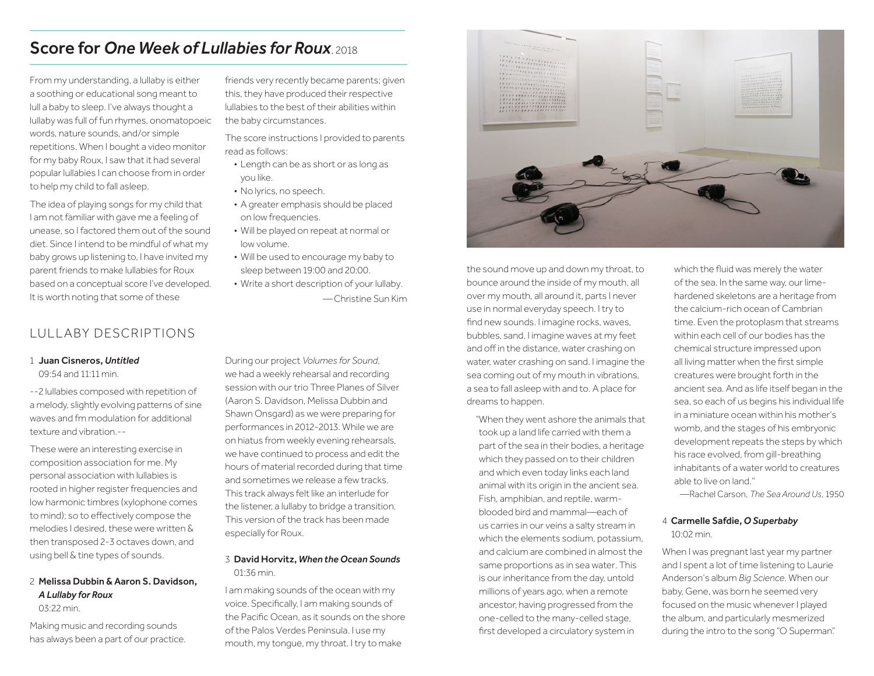# **Score for One Week of Lullabies for Roux** 2018

From my understanding, a lullaby is either a soothing or educational song meant to lull a baby to sleep. I've always thought a lullaby was full of fun rhymes, onomatopoeic words, nature sounds, and/or simple repetitions. When I bought a video monitor for my baby Roux, I saw that it had several popular lullabies I can choose from in order to help my child to fall asleep.

The idea of playing songs for my child that I am not familiar with gave me a feeling of unease, so I factored them out of the sound diet. Since I intend to be mindful of what my baby grows up listening to, I have invited my parent friends to make lullabies for Roux based on a conceptual score I've developed. It is worth noting that some of these

# LULLABY DESCRIPTIONS

1 Juan Cisneros, *Untitled*

09:54 and 11:11 min.

--2 lullabies composed with repetition of a melody, slightly evolving patterns of sine waves and fm modulation for additional texture and vibration.--

These were an interesting exercise in composition association for me. My personal association with lullabies is rooted in higher register frequencies and low harmonic timbres (xylophone comes to mind); so to effectively compose the melodies I desired, these were written & then transposed 2-3 octaves down, and using bell & tine types of sounds.

# 2 Melissa Dubbin & Aaron S. Davidson, *A Lullaby for Roux*

03:22 min.

Making music and recording sounds has always been a part of our practice. friends very recently became parents; given this, they have produced their respective lullabies to the best of their abilities within the baby circumstances.

The score instructions I provided to parents read as follows:

- Length can be as short or as long as you like.
- No lyrics, no speech.
- A greater emphasis should be placed on low frequencies.
- Will be played on repeat at normal or low volume.
- Will be used to encourage my baby to sleep between 19:00 and 20:00.
- Write a short description of your lullaby. —Christine Sun Kim

During our project *Volumes for Sound*, we had a weekly rehearsal and recording session with our trio Three Planes of Silver (Aaron S. Davidson, Melissa Dubbin and Shawn Onsgard) as we were preparing for performances in 2012-2013. While we are on hiatus from weekly evening rehearsals, we have continued to process and edit the hours of material recorded during that time and sometimes we release a few tracks. This track always felt like an interlude for the listener, a lullaby to bridge a transition. This version of the track has been made especially for Roux.

# 3 David Horvitz, *When the Ocean Sounds* 01:36 min.

I am making sounds of the ocean with my voice. Specifically, I am making sounds of the Pacific Ocean, as it sounds on the shore of the Palos Verdes Peninsula. I use my mouth, my tongue, my throat. I try to make



the sound move up and down my throat, to bounce around the inside of my mouth, all over my mouth, all around it, parts I never use in normal everyday speech. I try to find new sounds. I imagine rocks, waves, bubbles, sand. I imagine waves at my feet and off in the distance, water crashing on water, water crashing on sand. I imagine the sea coming out of my mouth in vibrations, a sea to fall asleep with and to. A place for dreams to happen.

"When they went ashore the animals that took up a land life carried with them a part of the sea in their bodies, a heritage which they passed on to their children and which even today links each land animal with its origin in the ancient sea. Fish, amphibian, and reptile, warmblooded bird and mammal—each of us carries in our veins a salty stream in which the elements sodium, potassium, and calcium are combined in almost the same proportions as in sea water. This is our inheritance from the day, untold millions of years ago, when a remote ancestor, having progressed from the one-celled to the many-celled stage, first developed a circulatory system in

which the fluid was merely the water of the sea. In the same way, our limehardened skeletons are a heritage from the calcium-rich ocean of Cambrian time. Even the protoplasm that streams within each cell of our bodies has the chemical structure impressed upon all living matter when the first simple creatures were brought forth in the ancient sea. And as life itself began in the sea, so each of us begins his individual life in a miniature ocean within his mother's womb, and the stages of his embryonic development repeats the steps by which his race evolved, from gill-breathing inhabitants of a water world to creatures able to live on land."

—Rachel Carson, *The Sea Around Us*, 1950

### 4 Carmelle Safdie, *O Superbaby* 10:02 min.

When I was pregnant last year my partner and I spent a lot of time listening to Laurie Anderson's album *Big Science*. When our baby, Gene, was born he seemed very focused on the music whenever I played the album, and particularly mesmerized during the intro to the song "O Superman."